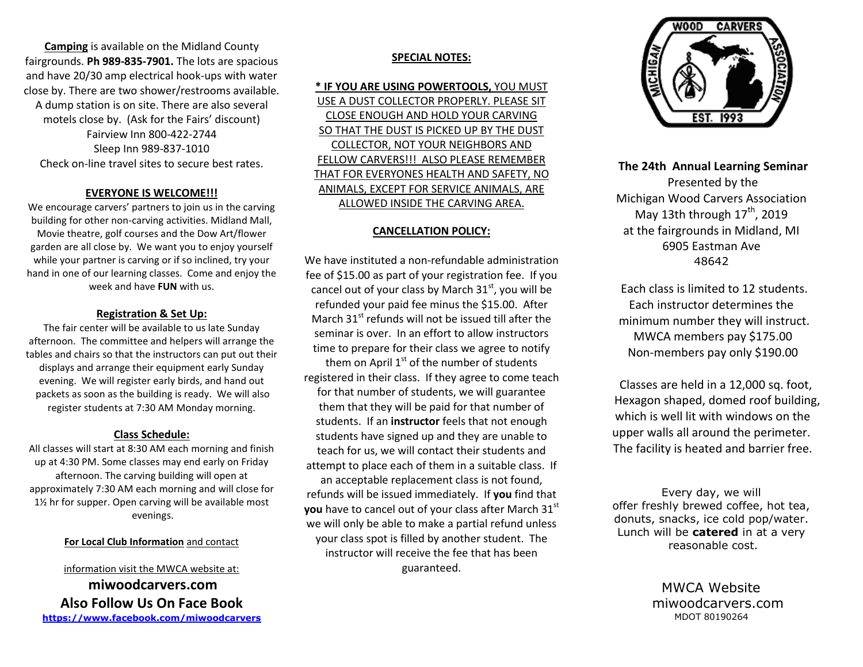**Camping** is available on the Midland County fairgrounds. **Ph 989-835-7901.** The lots are spacious and have 20/30 amp electrical hook-ups with water close by. There are two shower/restrooms available. A dump station is on site. There are also several motels close by. (Ask for the Fairs' discount) Fairview Inn 800-422-2744 Sleep Inn 989-837-1010 Check on-line travel sites to secure best rates.

### **EVERYONE IS WELCOME!!!**

We encourage carvers' partners to join us in the carving building for other non-carving activities. Midland Mall, Movie theatre, golf courses and the Dow Art/flower garden are all close by. We want you to enjoy yourself while your partner is carving or if so inclined, try your hand in one of our learning classes. Come and enjoy the week and have **FUN** with us.

#### **Registration & Set Up:**

The fair center will be available to us late Sunday afternoon. The committee and helpers will arrange the tables and chairs so that the instructors can put out their displays and arrange their equipment early Sunday evening. We will register early birds, and hand out packets as soon as the building is ready. We will also register students at 7:30 AM Monday morning.

# **Class Schedule:**

All classes will start at 8:30 AM each morning and finish up at 4:30 PM. Some classes may end early on Friday afternoon. The carving building will open at approximately 7:30 AM each morning and will close for 1½ hr for supper. Open carving will be available most evenings.

#### **For Local Club Information** and contact

information visit the MWCA website at: **miwoodcarvers.com Also Follow Us On Face Book <https://www.facebook.com/miwoodcarvers>**

# **SPECIAL NOTES:**

**\* IF YOU ARE USING POWERTOOLS,** YOU MUST USE A DUST COLLECTOR PROPERLY. PLEASE SIT CLOSE ENOUGH AND HOLD YOUR CARVING SO THAT THE DUST IS PICKED UP BY THE DUST COLLECTOR, NOT YOUR NEIGHBORS AND FELLOW CARVERS!!! ALSO PLEASE REMEMBER THAT FOR EVERYONES HEALTH AND SAFETY, NO ANIMALS, EXCEPT FOR SERVICE ANIMALS, ARE ALLOWED INSIDE THE CARVING AREA.

#### **CANCELLATION POLICY:**

We have instituted a non-refundable administration fee of \$15.00 as part of your registration fee. If you cancel out of your class by March  $31<sup>st</sup>$ , you will be refunded your paid fee minus the \$15.00. After March  $31<sup>st</sup>$  refunds will not be issued till after the seminar is over. In an effort to allow instructors time to prepare for their class we agree to notify them on April  $1<sup>st</sup>$  of the number of students registered in their class. If they agree to come teach for that number of students, we will guarantee them that they will be paid for that number of students. If an **instructor** feels that not enough students have signed up and they are unable to teach for us, we will contact their students and attempt to place each of them in a suitable class. If an acceptable replacement class is not found, refunds will be issued immediately. If **you** find that **you** have to cancel out of your class after March 31<sup>st</sup> we will only be able to make a partial refund unless your class spot is filled by another student. The instructor will receive the fee that has been guaranteed.



**The 24th Annual Learning Seminar** Presented by the Michigan Wood Carvers Association May 13th through  $17<sup>th</sup>$ , 2019 at the fairgrounds in Midland, MI 6905 Eastman Ave 48642

 Each class is limited to 12 students. Each instructor determines the minimum number they will instruct. MWCA members pay \$175.00 Non-members pay only \$190.00

 Classes are held in a 12,000 sq. foot, Hexagon shaped, domed roof building, which is well lit with windows on the upper walls all around the perimeter. The facility is heated and barrier free.

Every day, we will offer freshly brewed coffee, hot tea, donuts, snacks, ice cold pop/water. Lunch will be **catered** in at a very reasonable cost.

> MWCA Website miwoodcarvers.com MDOT 80190264